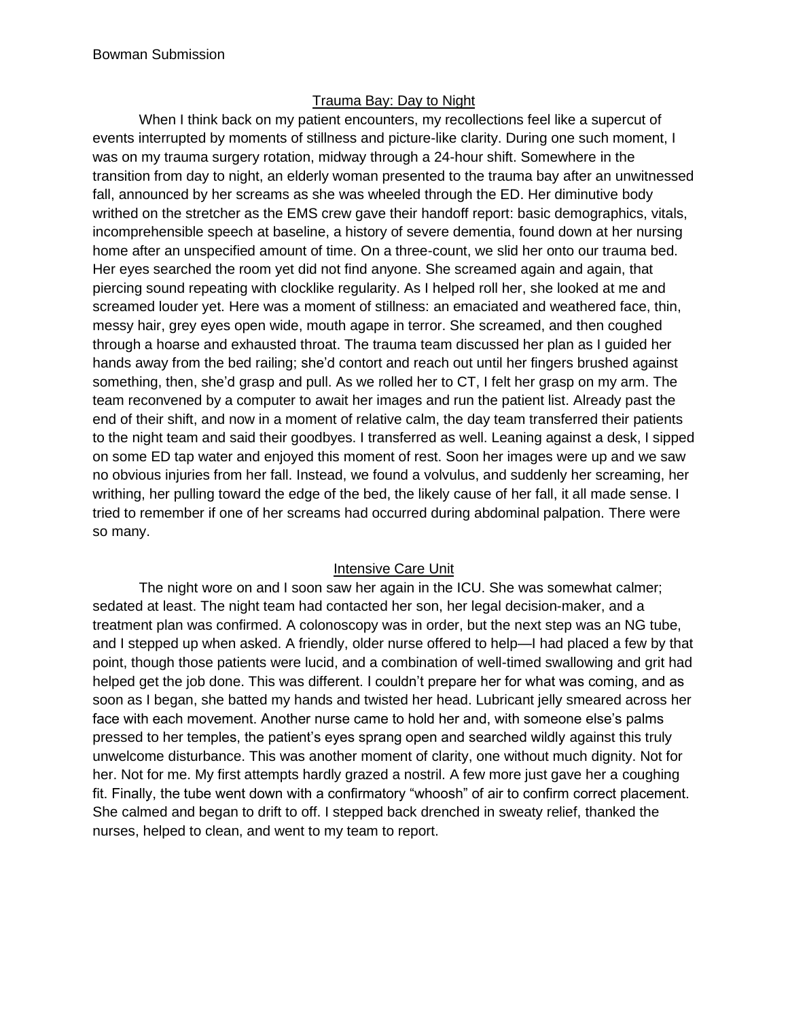## Trauma Bay: Day to Night

When I think back on my patient encounters, my recollections feel like a supercut of events interrupted by moments of stillness and picture-like clarity. During one such moment, I was on my trauma surgery rotation, midway through a 24-hour shift. Somewhere in the transition from day to night, an elderly woman presented to the trauma bay after an unwitnessed fall, announced by her screams as she was wheeled through the ED. Her diminutive body writhed on the stretcher as the EMS crew gave their handoff report: basic demographics, vitals, incomprehensible speech at baseline, a history of severe dementia, found down at her nursing home after an unspecified amount of time. On a three-count, we slid her onto our trauma bed. Her eyes searched the room yet did not find anyone. She screamed again and again, that piercing sound repeating with clocklike regularity. As I helped roll her, she looked at me and screamed louder yet. Here was a moment of stillness: an emaciated and weathered face, thin, messy hair, grey eyes open wide, mouth agape in terror. She screamed, and then coughed through a hoarse and exhausted throat. The trauma team discussed her plan as I guided her hands away from the bed railing; she'd contort and reach out until her fingers brushed against something, then, she'd grasp and pull. As we rolled her to CT, I felt her grasp on my arm. The team reconvened by a computer to await her images and run the patient list. Already past the end of their shift, and now in a moment of relative calm, the day team transferred their patients to the night team and said their goodbyes. I transferred as well. Leaning against a desk, I sipped on some ED tap water and enjoyed this moment of rest. Soon her images were up and we saw no obvious injuries from her fall. Instead, we found a volvulus, and suddenly her screaming, her writhing, her pulling toward the edge of the bed, the likely cause of her fall, it all made sense. I tried to remember if one of her screams had occurred during abdominal palpation. There were so many.

# Intensive Care Unit

The night wore on and I soon saw her again in the ICU. She was somewhat calmer; sedated at least. The night team had contacted her son, her legal decision-maker, and a treatment plan was confirmed. A colonoscopy was in order, but the next step was an NG tube, and I stepped up when asked. A friendly, older nurse offered to help—I had placed a few by that point, though those patients were lucid, and a combination of well-timed swallowing and grit had helped get the job done. This was different. I couldn't prepare her for what was coming, and as soon as I began, she batted my hands and twisted her head. Lubricant jelly smeared across her face with each movement. Another nurse came to hold her and, with someone else's palms pressed to her temples, the patient's eyes sprang open and searched wildly against this truly unwelcome disturbance. This was another moment of clarity, one without much dignity. Not for her. Not for me. My first attempts hardly grazed a nostril. A few more just gave her a coughing fit. Finally, the tube went down with a confirmatory "whoosh" of air to confirm correct placement. She calmed and began to drift to off. I stepped back drenched in sweaty relief, thanked the nurses, helped to clean, and went to my team to report.